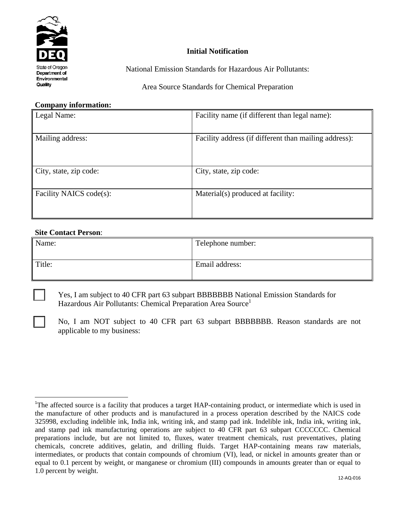

## **Initial Notification**

National Emission Standards for Hazardous Air Pollutants:

Area Source Standards for Chemical Preparation

## **Company information:**

| Legal Name:             | Facility name (if different than legal name):         |  |  |
|-------------------------|-------------------------------------------------------|--|--|
| Mailing address:        | Facility address (if different than mailing address): |  |  |
|                         |                                                       |  |  |
| City, state, zip code:  | City, state, zip code:                                |  |  |
| Facility NAICS code(s): | Material(s) produced at facility:                     |  |  |
|                         |                                                       |  |  |

## **Site Contact Person**:

 $\overline{a}$ 

| Name:  | Telephone number: |
|--------|-------------------|
| Title: | Email address:    |

 Yes, I am subject to 40 CFR part 63 subpart BBBBBBB National Emission Standards for Hazardous Air Pollutants: Chemical Preparation Area Source<sup>1</sup>

No, I am NOT subject to 40 CFR part 63 subpart BBBBBBB. Reason standards are not applicable to my business:

<sup>&</sup>lt;sup>1</sup>The affected source is a facility that produces a target HAP-containing product, or intermediate which is used in the manufacture of other products and is manufactured in a process operation described by the NAICS code 325998, excluding indelible ink, India ink, writing ink, and stamp pad ink. Indelible ink, India ink, writing ink, and stamp pad ink manufacturing operations are subject to 40 CFR part 63 subpart CCCCCCC. Chemical preparations include, but are not limited to, fluxes, water treatment chemicals, rust preventatives, plating chemicals, concrete additives, gelatin, and drilling fluids. Target HAP-containing means raw materials, intermediates, or products that contain compounds of chromium (VI), lead, or nickel in amounts greater than or equal to 0.1 percent by weight, or manganese or chromium (III) compounds in amounts greater than or equal to 1.0 percent by weight.